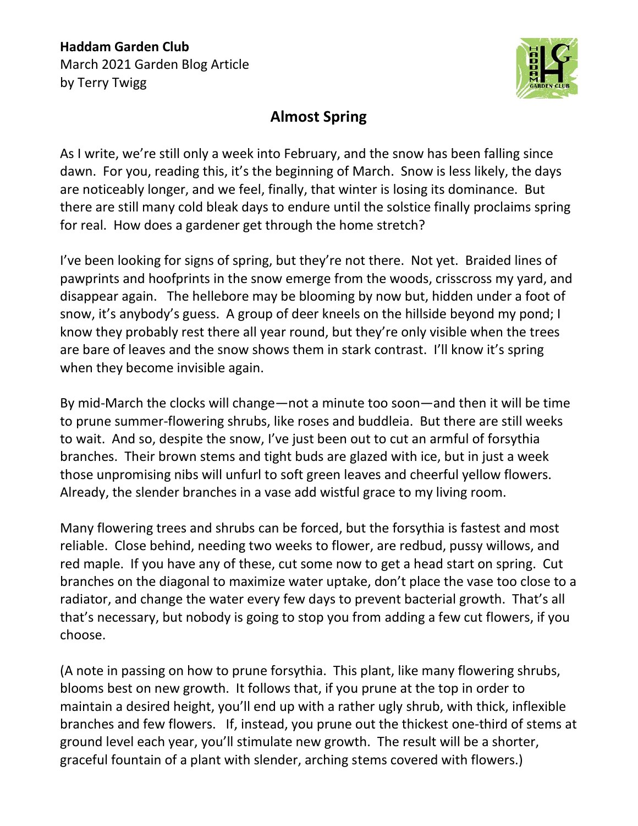## **Haddam Garden Club** March 2021 Garden Blog Article by Terry Twigg



## **Almost Spring**

As I write, we're still only a week into February, and the snow has been falling since dawn. For you, reading this, it's the beginning of March. Snow is less likely, the days are noticeably longer, and we feel, finally, that winter is losing its dominance. But there are still many cold bleak days to endure until the solstice finally proclaims spring for real. How does a gardener get through the home stretch?

I've been looking for signs of spring, but they're not there. Not yet. Braided lines of pawprints and hoofprints in the snow emerge from the woods, crisscross my yard, and disappear again. The hellebore may be blooming by now but, hidden under a foot of snow, it's anybody's guess. A group of deer kneels on the hillside beyond my pond; I know they probably rest there all year round, but they're only visible when the trees are bare of leaves and the snow shows them in stark contrast. I'll know it's spring when they become invisible again.

By mid-March the clocks will change—not a minute too soon—and then it will be time to prune summer-flowering shrubs, like roses and buddleia. But there are still weeks to wait. And so, despite the snow, I've just been out to cut an armful of forsythia branches. Their brown stems and tight buds are glazed with ice, but in just a week those unpromising nibs will unfurl to soft green leaves and cheerful yellow flowers. Already, the slender branches in a vase add wistful grace to my living room.

Many flowering trees and shrubs can be forced, but the forsythia is fastest and most reliable. Close behind, needing two weeks to flower, are redbud, pussy willows, and red maple. If you have any of these, cut some now to get a head start on spring. Cut branches on the diagonal to maximize water uptake, don't place the vase too close to a radiator, and change the water every few days to prevent bacterial growth. That's all that's necessary, but nobody is going to stop you from adding a few cut flowers, if you choose.

(A note in passing on how to prune forsythia. This plant, like many flowering shrubs, blooms best on new growth. It follows that, if you prune at the top in order to maintain a desired height, you'll end up with a rather ugly shrub, with thick, inflexible branches and few flowers. If, instead, you prune out the thickest one-third of stems at ground level each year, you'll stimulate new growth. The result will be a shorter, graceful fountain of a plant with slender, arching stems covered with flowers.)